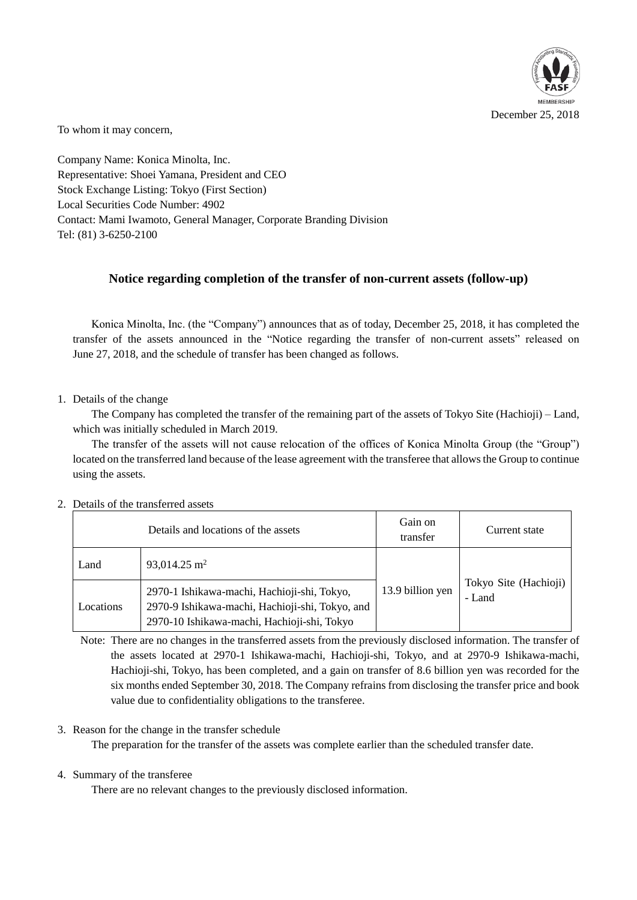

To whom it may concern,

Company Name: Konica Minolta, Inc. Representative: Shoei Yamana, President and CEO Stock Exchange Listing: Tokyo (First Section) Local Securities Code Number: 4902 Contact: Mami Iwamoto, General Manager, Corporate Branding Division Tel: (81) 3-6250-2100

# **Notice regarding completion of the transfer of non-current assets (follow-up)**

Konica Minolta, Inc. (the "Company") announces that as of today, December 25, 2018, it has completed the transfer of the assets announced in the "Notice regarding the transfer of non-current assets" released on June 27, 2018, and the schedule of transfer has been changed as follows.

## 1. Details of the change

The Company has completed the transfer of the remaining part of the assets of Tokyo Site (Hachioji) – Land, which was initially scheduled in March 2019.

The transfer of the assets will not cause relocation of the offices of Konica Minolta Group (the "Group") located on the transferred land because of the lease agreement with the transferee that allows the Group to continue using the assets.

|           | Details and locations of the assets                                                                                                           | Gain on<br>transfer | Current state                   |
|-----------|-----------------------------------------------------------------------------------------------------------------------------------------------|---------------------|---------------------------------|
| Land      | 93,014.25 m <sup>2</sup>                                                                                                                      |                     |                                 |
| Locations | 2970-1 Ishikawa-machi, Hachioji-shi, Tokyo,<br>2970-9 Ishikawa-machi, Hachioji-shi, Tokyo, and<br>2970-10 Ishikawa-machi, Hachioji-shi, Tokyo | 13.9 billion yen    | Tokyo Site (Hachioji)<br>- Land |

### 2. Details of the transferred assets

Note: There are no changes in the transferred assets from the previously disclosed information. The transfer of the assets located at 2970-1 Ishikawa-machi, Hachioji-shi, Tokyo, and at 2970-9 Ishikawa-machi, Hachioji-shi, Tokyo, has been completed, and a gain on transfer of 8.6 billion yen was recorded for the six months ended September 30, 2018. The Company refrains from disclosing the transfer price and book value due to confidentiality obligations to the transferee.

# 3. Reason for the change in the transfer schedule

The preparation for the transfer of the assets was complete earlier than the scheduled transfer date.

### 4. Summary of the transferee

There are no relevant changes to the previously disclosed information.